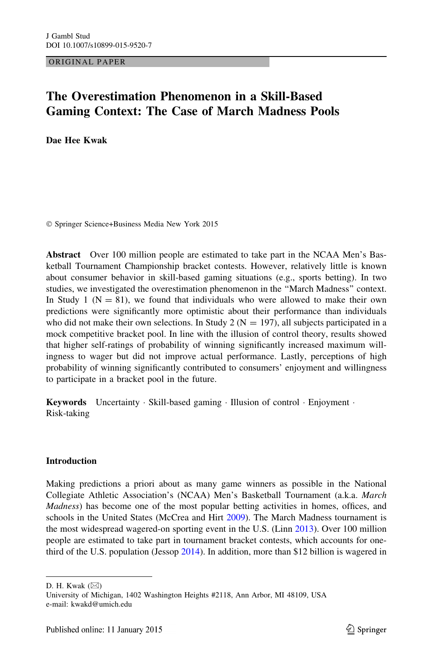ORIGINAL PAPER

# The Overestimation Phenomenon in a Skill-Based Gaming Context: The Case of March Madness Pools

Dae Hee Kwak

- Springer Science+Business Media New York 2015

Abstract Over 100 million people are estimated to take part in the NCAA Men's Basketball Tournament Championship bracket contests. However, relatively little is known about consumer behavior in skill-based gaming situations (e.g., sports betting). In two studies, we investigated the overestimation phenomenon in the ''March Madness'' context. In Study 1 ( $N = 81$ ), we found that individuals who were allowed to make their own predictions were significantly more optimistic about their performance than individuals who did not make their own selections. In Study 2 ( $N = 197$ ), all subjects participated in a mock competitive bracket pool. In line with the illusion of control theory, results showed that higher self-ratings of probability of winning significantly increased maximum willingness to wager but did not improve actual performance. Lastly, perceptions of high probability of winning significantly contributed to consumers' enjoyment and willingness to participate in a bracket pool in the future.

Keywords Uncertainty · Skill-based gaming · Illusion of control · Enjoyment · Risk-taking

## **Introduction**

Making predictions a priori about as many game winners as possible in the National Collegiate Athletic Association's (NCAA) Men's Basketball Tournament (a.k.a. March Madness) has become one of the most popular betting activities in homes, offices, and schools in the United States (McCrea and Hirt [2009\)](#page-16-0). The March Madness tournament is the most widespread wagered-on sporting event in the U.S. (Linn [2013\)](#page-16-0). Over 100 million people are estimated to take part in tournament bracket contests, which accounts for onethird of the U.S. population (Jessop [2014\)](#page-16-0). In addition, more than \$12 billion is wagered in

D. H. Kwak  $(\boxtimes)$ 

University of Michigan, 1402 Washington Heights #2118, Ann Arbor, MI 48109, USA e-mail: kwakd@umich.edu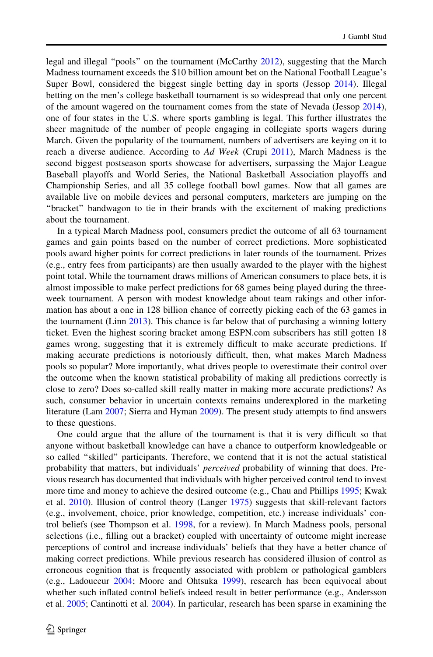legal and illegal "pools" on the tournament (McCarthy [2012\)](#page-16-0), suggesting that the March Madness tournament exceeds the \$10 billion amount bet on the National Football League's Super Bowl, considered the biggest single betting day in sports (Jessop [2014](#page-16-0)). Illegal betting on the men's college basketball tournament is so widespread that only one percent of the amount wagered on the tournament comes from the state of Nevada (Jessop [2014](#page-16-0)), one of four states in the U.S. where sports gambling is legal. This further illustrates the sheer magnitude of the number of people engaging in collegiate sports wagers during March. Given the popularity of the tournament, numbers of advertisers are keying on it to reach a diverse audience. According to Ad Week (Crupi [2011](#page-15-0)), March Madness is the second biggest postseason sports showcase for advertisers, surpassing the Major League Baseball playoffs and World Series, the National Basketball Association playoffs and Championship Series, and all 35 college football bowl games. Now that all games are available live on mobile devices and personal computers, marketers are jumping on the ''bracket'' bandwagon to tie in their brands with the excitement of making predictions about the tournament.

In a typical March Madness pool, consumers predict the outcome of all 63 tournament games and gain points based on the number of correct predictions. More sophisticated pools award higher points for correct predictions in later rounds of the tournament. Prizes (e.g., entry fees from participants) are then usually awarded to the player with the highest point total. While the tournament draws millions of American consumers to place bets, it is almost impossible to make perfect predictions for 68 games being played during the threeweek tournament. A person with modest knowledge about team rakings and other information has about a one in 128 billion chance of correctly picking each of the 63 games in the tournament (Linn [2013\)](#page-16-0). This chance is far below that of purchasing a winning lottery ticket. Even the highest scoring bracket among ESPN.com subscribers has still gotten 18 games wrong, suggesting that it is extremely difficult to make accurate predictions. If making accurate predictions is notoriously difficult, then, what makes March Madness pools so popular? More importantly, what drives people to overestimate their control over the outcome when the known statistical probability of making all predictions correctly is close to zero? Does so-called skill really matter in making more accurate predictions? As such, consumer behavior in uncertain contexts remains underexplored in the marketing literature (Lam [2007;](#page-16-0) Sierra and Hyman [2009\)](#page-16-0). The present study attempts to find answers to these questions.

One could argue that the allure of the tournament is that it is very difficult so that anyone without basketball knowledge can have a chance to outperform knowledgeable or so called ''skilled'' participants. Therefore, we contend that it is not the actual statistical probability that matters, but individuals' perceived probability of winning that does. Previous research has documented that individuals with higher perceived control tend to invest more time and money to achieve the desired outcome (e.g., Chau and Phillips [1995;](#page-15-0) Kwak et al. [2010](#page-16-0)). Illusion of control theory (Langer [1975\)](#page-16-0) suggests that skill-relevant factors (e.g., involvement, choice, prior knowledge, competition, etc.) increase individuals' control beliefs (see Thompson et al. [1998,](#page-16-0) for a review). In March Madness pools, personal selections (i.e., filling out a bracket) coupled with uncertainty of outcome might increase perceptions of control and increase individuals' beliefs that they have a better chance of making correct predictions. While previous research has considered illusion of control as erroneous cognition that is frequently associated with problem or pathological gamblers (e.g., Ladouceur [2004](#page-16-0); Moore and Ohtsuka [1999](#page-16-0)), research has been equivocal about whether such inflated control beliefs indeed result in better performance (e.g., Andersson et al. [2005;](#page-15-0) Cantinotti et al. [2004\)](#page-15-0). In particular, research has been sparse in examining the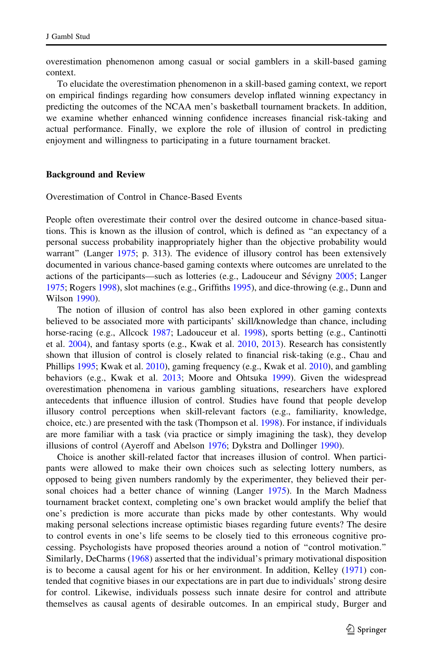overestimation phenomenon among casual or social gamblers in a skill-based gaming context.

To elucidate the overestimation phenomenon in a skill-based gaming context, we report on empirical findings regarding how consumers develop inflated winning expectancy in predicting the outcomes of the NCAA men's basketball tournament brackets. In addition, we examine whether enhanced winning confidence increases financial risk-taking and actual performance. Finally, we explore the role of illusion of control in predicting enjoyment and willingness to participating in a future tournament bracket.

#### Background and Review

Overestimation of Control in Chance-Based Events

People often overestimate their control over the desired outcome in chance-based situations. This is known as the illusion of control, which is defined as ''an expectancy of a personal success probability inappropriately higher than the objective probability would warrant'' (Langer [1975;](#page-16-0) p. 313). The evidence of illusory control has been extensively documented in various chance-based gaming contexts where outcomes are unrelated to the actions of the participants—such as lotteries (e.g., Ladouceur and Sévigny [2005;](#page-16-0) Langer [1975;](#page-16-0) Rogers [1998\)](#page-16-0), slot machines (e.g., Griffiths [1995](#page-15-0)), and dice-throwing (e.g., Dunn and Wilson [1990](#page-15-0)).

The notion of illusion of control has also been explored in other gaming contexts believed to be associated more with participants' skill/knowledge than chance, including horse-racing (e.g., Allcock [1987](#page-15-0); Ladouceur et al. [1998](#page-16-0)), sports betting (e.g., Cantinotti et al. [2004](#page-15-0)), and fantasy sports (e.g., Kwak et al. [2010](#page-16-0), [2013\)](#page-16-0). Research has consistently shown that illusion of control is closely related to financial risk-taking (e.g., Chau and Phillips [1995](#page-15-0); Kwak et al. [2010](#page-16-0)), gaming frequency (e.g., Kwak et al. [2010\)](#page-16-0), and gambling behaviors (e.g., Kwak et al. [2013](#page-16-0); Moore and Ohtsuka [1999\)](#page-16-0). Given the widespread overestimation phenomena in various gambling situations, researchers have explored antecedents that influence illusion of control. Studies have found that people develop illusory control perceptions when skill-relevant factors (e.g., familiarity, knowledge, choice, etc.) are presented with the task (Thompson et al. [1998\)](#page-16-0). For instance, if individuals are more familiar with a task (via practice or simply imagining the task), they develop illusions of control (Ayeroff and Abelson [1976;](#page-15-0) Dykstra and Dollinger [1990](#page-15-0)).

Choice is another skill-related factor that increases illusion of control. When participants were allowed to make their own choices such as selecting lottery numbers, as opposed to being given numbers randomly by the experimenter, they believed their personal choices had a better chance of winning (Langer [1975\)](#page-16-0). In the March Madness tournament bracket context, completing one's own bracket would amplify the belief that one's prediction is more accurate than picks made by other contestants. Why would making personal selections increase optimistic biases regarding future events? The desire to control events in one's life seems to be closely tied to this erroneous cognitive processing. Psychologists have proposed theories around a notion of ''control motivation.'' Similarly, DeCharms ([1968\)](#page-15-0) asserted that the individual's primary motivational disposition is to become a causal agent for his or her environment. In addition, Kelley [\(1971](#page-16-0)) contended that cognitive biases in our expectations are in part due to individuals' strong desire for control. Likewise, individuals possess such innate desire for control and attribute themselves as causal agents of desirable outcomes. In an empirical study, Burger and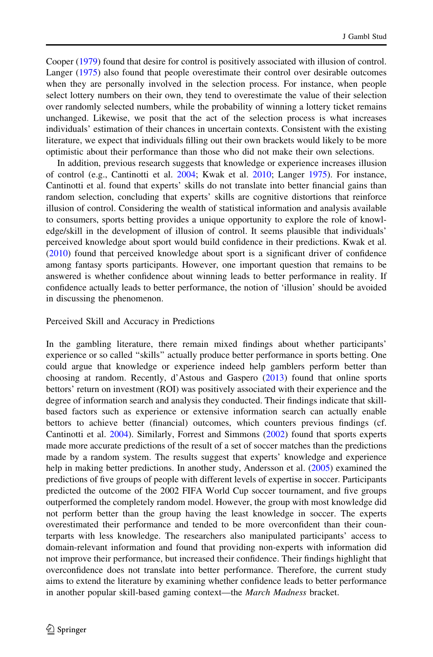Cooper [\(1979](#page-15-0)) found that desire for control is positively associated with illusion of control. Langer [\(1975](#page-16-0)) also found that people overestimate their control over desirable outcomes when they are personally involved in the selection process. For instance, when people select lottery numbers on their own, they tend to overestimate the value of their selection over randomly selected numbers, while the probability of winning a lottery ticket remains unchanged. Likewise, we posit that the act of the selection process is what increases individuals' estimation of their chances in uncertain contexts. Consistent with the existing literature, we expect that individuals filling out their own brackets would likely to be more optimistic about their performance than those who did not make their own selections.

In addition, previous research suggests that knowledge or experience increases illusion of control (e.g., Cantinotti et al. [2004;](#page-15-0) Kwak et al. [2010](#page-16-0); Langer [1975](#page-16-0)). For instance, Cantinotti et al. found that experts' skills do not translate into better financial gains than random selection, concluding that experts' skills are cognitive distortions that reinforce illusion of control. Considering the wealth of statistical information and analysis available to consumers, sports betting provides a unique opportunity to explore the role of knowledge/skill in the development of illusion of control. It seems plausible that individuals' perceived knowledge about sport would build confidence in their predictions. Kwak et al. ([2010\)](#page-16-0) found that perceived knowledge about sport is a significant driver of confidence among fantasy sports participants. However, one important question that remains to be answered is whether confidence about winning leads to better performance in reality. If confidence actually leads to better performance, the notion of 'illusion' should be avoided in discussing the phenomenon.

#### Perceived Skill and Accuracy in Predictions

In the gambling literature, there remain mixed findings about whether participants' experience or so called ''skills'' actually produce better performance in sports betting. One could argue that knowledge or experience indeed help gamblers perform better than choosing at random. Recently, d'Astous and Gaspero ([2013\)](#page-15-0) found that online sports bettors' return on investment (ROI) was positively associated with their experience and the degree of information search and analysis they conducted. Their findings indicate that skillbased factors such as experience or extensive information search can actually enable bettors to achieve better (financial) outcomes, which counters previous findings (cf. Cantinotti et al. [2004](#page-15-0)). Similarly, Forrest and Simmons [\(2002](#page-15-0)) found that sports experts made more accurate predictions of the result of a set of soccer matches than the predictions made by a random system. The results suggest that experts' knowledge and experience help in making better predictions. In another study, Andersson et al. [\(2005](#page-15-0)) examined the predictions of five groups of people with different levels of expertise in soccer. Participants predicted the outcome of the 2002 FIFA World Cup soccer tournament, and five groups outperformed the completely random model. However, the group with most knowledge did not perform better than the group having the least knowledge in soccer. The experts overestimated their performance and tended to be more overconfident than their counterparts with less knowledge. The researchers also manipulated participants' access to domain-relevant information and found that providing non-experts with information did not improve their performance, but increased their confidence. Their findings highlight that overconfidence does not translate into better performance. Therefore, the current study aims to extend the literature by examining whether confidence leads to better performance in another popular skill-based gaming context—the March Madness bracket.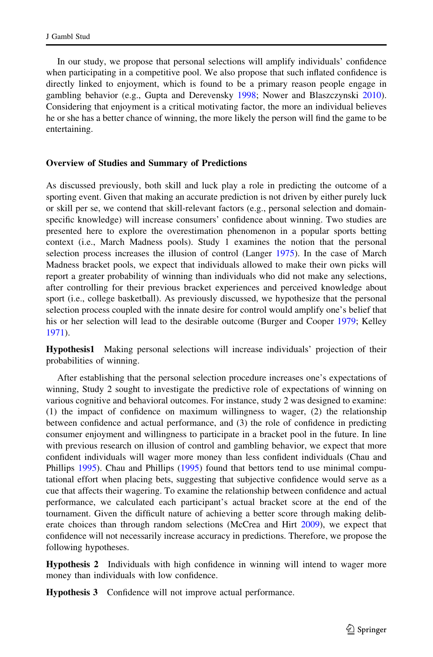In our study, we propose that personal selections will amplify individuals' confidence when participating in a competitive pool. We also propose that such inflated confidence is directly linked to enjoyment, which is found to be a primary reason people engage in gambling behavior (e.g., Gupta and Derevensky [1998](#page-15-0); Nower and Blaszczynski [2010](#page-16-0)). Considering that enjoyment is a critical motivating factor, the more an individual believes he or she has a better chance of winning, the more likely the person will find the game to be entertaining.

#### Overview of Studies and Summary of Predictions

As discussed previously, both skill and luck play a role in predicting the outcome of a sporting event. Given that making an accurate prediction is not driven by either purely luck or skill per se, we contend that skill-relevant factors (e.g., personal selection and domainspecific knowledge) will increase consumers' confidence about winning. Two studies are presented here to explore the overestimation phenomenon in a popular sports betting context (i.e., March Madness pools). Study 1 examines the notion that the personal selection process increases the illusion of control (Langer [1975\)](#page-16-0). In the case of March Madness bracket pools, we expect that individuals allowed to make their own picks will report a greater probability of winning than individuals who did not make any selections, after controlling for their previous bracket experiences and perceived knowledge about sport (i.e., college basketball). As previously discussed, we hypothesize that the personal selection process coupled with the innate desire for control would amplify one's belief that his or her selection will lead to the desirable outcome (Burger and Cooper [1979](#page-15-0); Kelley [1971\)](#page-16-0).

Hypothesis1 Making personal selections will increase individuals' projection of their probabilities of winning.

After establishing that the personal selection procedure increases one's expectations of winning, Study 2 sought to investigate the predictive role of expectations of winning on various cognitive and behavioral outcomes. For instance, study 2 was designed to examine: (1) the impact of confidence on maximum willingness to wager, (2) the relationship between confidence and actual performance, and (3) the role of confidence in predicting consumer enjoyment and willingness to participate in a bracket pool in the future. In line with previous research on illusion of control and gambling behavior, we expect that more confident individuals will wager more money than less confident individuals (Chau and Phillips [1995](#page-15-0)). Chau and Phillips [\(1995](#page-15-0)) found that bettors tend to use minimal computational effort when placing bets, suggesting that subjective confidence would serve as a cue that affects their wagering. To examine the relationship between confidence and actual performance, we calculated each participant's actual bracket score at the end of the tournament. Given the difficult nature of achieving a better score through making deliberate choices than through random selections (McCrea and Hirt [2009\)](#page-16-0), we expect that confidence will not necessarily increase accuracy in predictions. Therefore, we propose the following hypotheses.

Hypothesis 2 Individuals with high confidence in winning will intend to wager more money than individuals with low confidence.

Hypothesis 3 Confidence will not improve actual performance.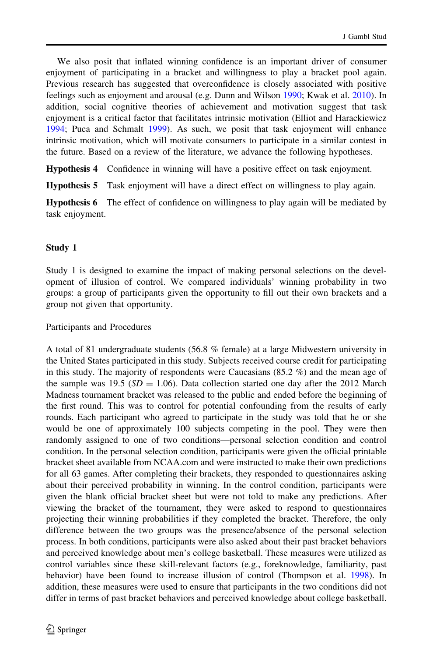We also posit that inflated winning confidence is an important driver of consumer enjoyment of participating in a bracket and willingness to play a bracket pool again. Previous research has suggested that overconfidence is closely associated with positive feelings such as enjoyment and arousal (e.g. Dunn and Wilson [1990](#page-15-0); Kwak et al. [2010\)](#page-16-0). In addition, social cognitive theories of achievement and motivation suggest that task enjoyment is a critical factor that facilitates intrinsic motivation (Elliot and Harackiewicz [1994;](#page-15-0) Puca and Schmalt [1999](#page-16-0)). As such, we posit that task enjoyment will enhance intrinsic motivation, which will motivate consumers to participate in a similar contest in the future. Based on a review of the literature, we advance the following hypotheses.

Hypothesis 4 Confidence in winning will have a positive effect on task enjoyment.

Hypothesis 5 Task enjoyment will have a direct effect on willingness to play again.

Hypothesis 6 The effect of confidence on willingness to play again will be mediated by task enjoyment.

## Study 1

Study 1 is designed to examine the impact of making personal selections on the development of illusion of control. We compared individuals' winning probability in two groups: a group of participants given the opportunity to fill out their own brackets and a group not given that opportunity.

Participants and Procedures

A total of 81 undergraduate students (56.8 % female) at a large Midwestern university in the United States participated in this study. Subjects received course credit for participating in this study. The majority of respondents were Caucasians  $(85.2 \%)$  and the mean age of the sample was 19.5 ( $SD = 1.06$ ). Data collection started one day after the 2012 March Madness tournament bracket was released to the public and ended before the beginning of the first round. This was to control for potential confounding from the results of early rounds. Each participant who agreed to participate in the study was told that he or she would be one of approximately 100 subjects competing in the pool. They were then randomly assigned to one of two conditions—personal selection condition and control condition. In the personal selection condition, participants were given the official printable bracket sheet available from NCAA.com and were instructed to make their own predictions for all 63 games. After completing their brackets, they responded to questionnaires asking about their perceived probability in winning. In the control condition, participants were given the blank official bracket sheet but were not told to make any predictions. After viewing the bracket of the tournament, they were asked to respond to questionnaires projecting their winning probabilities if they completed the bracket. Therefore, the only difference between the two groups was the presence/absence of the personal selection process. In both conditions, participants were also asked about their past bracket behaviors and perceived knowledge about men's college basketball. These measures were utilized as control variables since these skill-relevant factors (e.g., foreknowledge, familiarity, past behavior) have been found to increase illusion of control (Thompson et al. [1998\)](#page-16-0). In addition, these measures were used to ensure that participants in the two conditions did not differ in terms of past bracket behaviors and perceived knowledge about college basketball.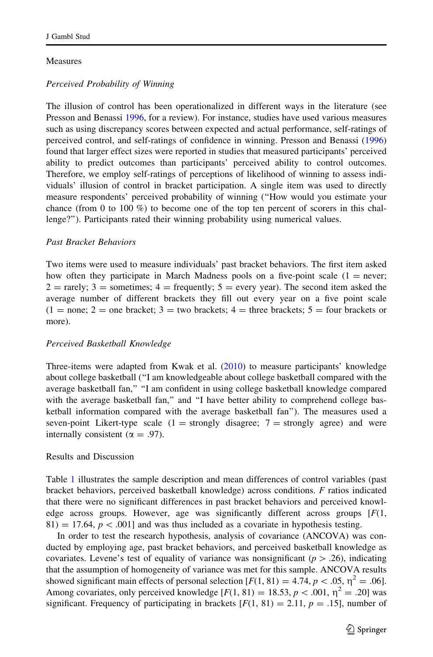#### Measures

## Perceived Probability of Winning

The illusion of control has been operationalized in different ways in the literature (see Presson and Benassi [1996](#page-16-0), for a review). For instance, studies have used various measures such as using discrepancy scores between expected and actual performance, self-ratings of perceived control, and self-ratings of confidence in winning. Presson and Benassi ([1996](#page-16-0)) found that larger effect sizes were reported in studies that measured participants' perceived ability to predict outcomes than participants' perceived ability to control outcomes. Therefore, we employ self-ratings of perceptions of likelihood of winning to assess individuals' illusion of control in bracket participation. A single item was used to directly measure respondents' perceived probability of winning (''How would you estimate your chance (from 0 to 100  $\%$ ) to become one of the top ten percent of scorers in this challenge?''). Participants rated their winning probability using numerical values.

## Past Bracket Behaviors

Two items were used to measure individuals' past bracket behaviors. The first item asked how often they participate in March Madness pools on a five-point scale  $(1 =$  never;  $2 = \text{rarely}; 3 = \text{sometimes}; 4 = \text{frequently}; 5 = \text{every year}.$  The second item asked the average number of different brackets they fill out every year on a five point scale  $(1 = none; 2 = one bracket; 3 = two brackets; 4 = three brackets; 5 = four brackets$ more).

## Perceived Basketball Knowledge

Three-items were adapted from Kwak et al. [\(2010](#page-16-0)) to measure participants' knowledge about college basketball (''I am knowledgeable about college basketball compared with the average basketball fan,'' ''I am confident in using college basketball knowledge compared with the average basketball fan," and "I have better ability to comprehend college basketball information compared with the average basketball fan''). The measures used a seven-point Likert-type scale  $(1 =$  strongly disagree;  $7 =$  strongly agree) and were internally consistent ( $\alpha = .97$ ).

## Results and Discussion

Table [1](#page-7-0) illustrates the sample description and mean differences of control variables (past bracket behaviors, perceived basketball knowledge) across conditions. F ratios indicated that there were no significant differences in past bracket behaviors and perceived knowledge across groups. However, age was significantly different across groups  $[F(1,$  $81) = 17.64$ ,  $p < .001$ ] and was thus included as a covariate in hypothesis testing.

In order to test the research hypothesis, analysis of covariance (ANCOVA) was conducted by employing age, past bracket behaviors, and perceived basketball knowledge as covariates. Levene's test of equality of variance was nonsignificant ( $p > .26$ ), indicating that the assumption of homogeneity of variance was met for this sample. ANCOVA results showed significant main effects of personal selection  $[F(1, 81) = 4.74, p \lt .05, \eta^2 = .06]$ . Among covariates, only perceived knowledge  $[F(1, 81) = 18.53, p < .001, \eta^2 = .20]$  was significant. Frequency of participating in brackets  $[F(1, 81) = 2.11, p = .15]$ , number of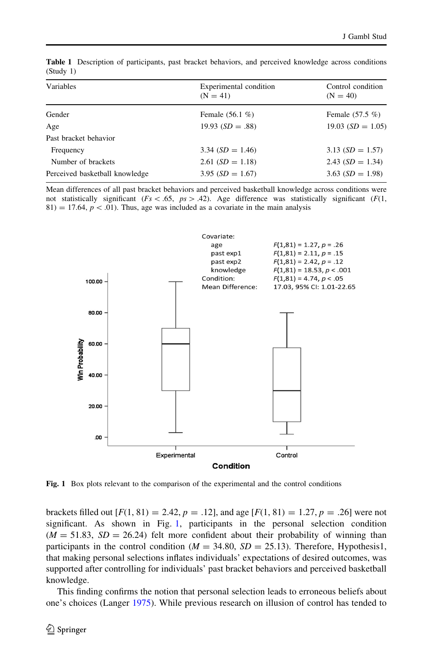| Variables                      | Experimental condition<br>$(N = 41)$ | Control condition<br>$(N = 40)$ |
|--------------------------------|--------------------------------------|---------------------------------|
| Gender                         | Female (56.1 %)                      | Female $(57.5\% )$              |
| Age                            | $19.93(SD = .88)$                    | $19.03(SD = 1.05)$              |
| Past bracket behavior          |                                      |                                 |
| Frequency                      | 3.34 $(SD = 1.46)$                   | $3.13(SD = 1.57)$               |
| Number of brackets             | 2.61 $(SD = 1.18)$                   | 2.43 $(SD = 1.34)$              |
| Perceived basketball knowledge | 3.95 $(SD = 1.67)$                   | 3.63 $(SD = 1.98)$              |

<span id="page-7-0"></span>Table 1 Description of participants, past bracket behaviors, and perceived knowledge across conditions (Study 1)

Mean differences of all past bracket behaviors and perceived basketball knowledge across conditions were not statistically significant ( $Fs < .65$ ,  $ps > .42$ ). Age difference was statistically significant ( $F(1)$ ,  $81) = 17.64$ ,  $p < .01$ ). Thus, age was included as a covariate in the main analysis



Fig. 1 Box plots relevant to the comparison of the experimental and the control conditions

brackets filled out  $[F(1, 81) = 2.42, p = .12]$ , and age  $[F(1, 81) = 1.27, p = .26]$  were not significant. As shown in Fig. 1, participants in the personal selection condition  $(M = 51.83, SD = 26.24)$  felt more confident about their probability of winning than participants in the control condition ( $M = 34.80$ ,  $SD = 25.13$ ). Therefore, Hypothesis1, that making personal selections inflates individuals' expectations of desired outcomes, was supported after controlling for individuals' past bracket behaviors and perceived basketball knowledge.

This finding confirms the notion that personal selection leads to erroneous beliefs about one's choices (Langer [1975](#page-16-0)). While previous research on illusion of control has tended to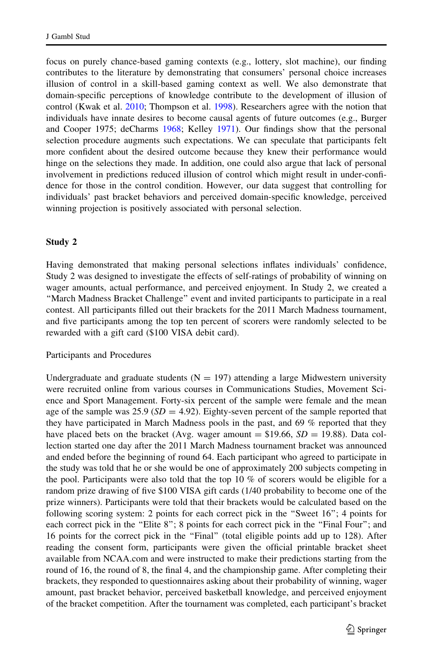focus on purely chance-based gaming contexts (e.g., lottery, slot machine), our finding contributes to the literature by demonstrating that consumers' personal choice increases illusion of control in a skill-based gaming context as well. We also demonstrate that domain-specific perceptions of knowledge contribute to the development of illusion of control (Kwak et al. [2010](#page-16-0); Thompson et al. [1998](#page-16-0)). Researchers agree with the notion that individuals have innate desires to become causal agents of future outcomes (e.g., Burger and Cooper 1975; deCharms [1968;](#page-15-0) Kelley [1971](#page-16-0)). Our findings show that the personal selection procedure augments such expectations. We can speculate that participants felt more confident about the desired outcome because they knew their performance would hinge on the selections they made. In addition, one could also argue that lack of personal involvement in predictions reduced illusion of control which might result in under-confidence for those in the control condition. However, our data suggest that controlling for individuals' past bracket behaviors and perceived domain-specific knowledge, perceived winning projection is positively associated with personal selection.

## Study 2

Having demonstrated that making personal selections inflates individuals' confidence, Study 2 was designed to investigate the effects of self-ratings of probability of winning on wager amounts, actual performance, and perceived enjoyment. In Study 2, we created a ''March Madness Bracket Challenge'' event and invited participants to participate in a real contest. All participants filled out their brackets for the 2011 March Madness tournament, and five participants among the top ten percent of scorers were randomly selected to be rewarded with a gift card (\$100 VISA debit card).

#### Participants and Procedures

Undergraduate and graduate students ( $N = 197$ ) attending a large Midwestern university were recruited online from various courses in Communications Studies, Movement Science and Sport Management. Forty-six percent of the sample were female and the mean age of the sample was 25.9 ( $SD = 4.92$ ). Eighty-seven percent of the sample reported that they have participated in March Madness pools in the past, and 69 % reported that they have placed bets on the bracket (Avg. wager amount  $=$  \$19.66, *SD*  $=$  19.88). Data collection started one day after the 2011 March Madness tournament bracket was announced and ended before the beginning of round 64. Each participant who agreed to participate in the study was told that he or she would be one of approximately 200 subjects competing in the pool. Participants were also told that the top 10 % of scorers would be eligible for a random prize drawing of five \$100 VISA gift cards (1/40 probability to become one of the prize winners). Participants were told that their brackets would be calculated based on the following scoring system: 2 points for each correct pick in the ''Sweet 16''; 4 points for each correct pick in the "Elite 8"; 8 points for each correct pick in the "Final Four"; and 16 points for the correct pick in the ''Final'' (total eligible points add up to 128). After reading the consent form, participants were given the official printable bracket sheet available from NCAA.com and were instructed to make their predictions starting from the round of 16, the round of 8, the final 4, and the championship game. After completing their brackets, they responded to questionnaires asking about their probability of winning, wager amount, past bracket behavior, perceived basketball knowledge, and perceived enjoyment of the bracket competition. After the tournament was completed, each participant's bracket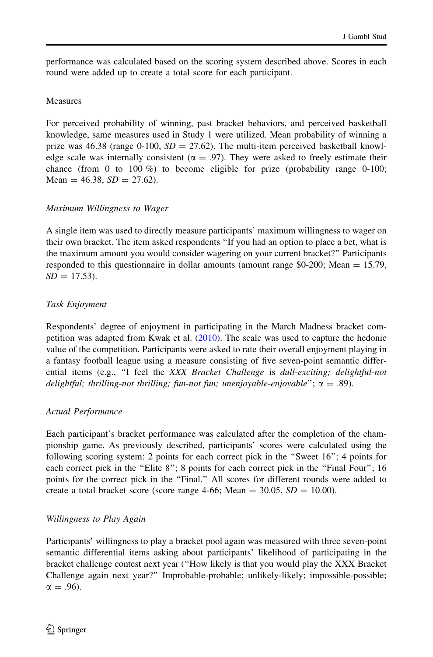performance was calculated based on the scoring system described above. Scores in each round were added up to create a total score for each participant.

## Measures

For perceived probability of winning, past bracket behaviors, and perceived basketball knowledge, same measures used in Study 1 were utilized. Mean probability of winning a prize was 46.38 (range 0-100,  $SD = 27.62$ ). The multi-item perceived basketball knowledge scale was internally consistent ( $\alpha = .97$ ). They were asked to freely estimate their chance (from 0 to 100 %) to become eligible for prize (probability range  $0-100$ ; Mean = 46.38,  $SD = 27.62$ ).

## Maximum Willingness to Wager

A single item was used to directly measure participants' maximum willingness to wager on their own bracket. The item asked respondents ''If you had an option to place a bet, what is the maximum amount you would consider wagering on your current bracket?'' Participants responded to this questionnaire in dollar amounts (amount range \$0-200; Mean = 15.79,  $SD = 17.53$ ).

## Task Enjoyment

Respondents' degree of enjoyment in participating in the March Madness bracket competition was adapted from Kwak et al. [\(2010](#page-16-0)). The scale was used to capture the hedonic value of the competition. Participants were asked to rate their overall enjoyment playing in a fantasy football league using a measure consisting of five seven-point semantic differential items (e.g., "I feel the XXX Bracket Challenge is dull-exciting; delightful-not delightful; thrilling-not thrilling; fun-not fun; unenjoyable-enjoyable";  $\alpha = .89$ ).

# Actual Performance

Each participant's bracket performance was calculated after the completion of the championship game. As previously described, participants' scores were calculated using the following scoring system: 2 points for each correct pick in the ''Sweet 16''; 4 points for each correct pick in the "Elite 8"; 8 points for each correct pick in the "Final Four"; 16 points for the correct pick in the "Final." All scores for different rounds were added to create a total bracket score (score range 4-66; Mean  $=$  30.05,  $SD = 10.00$ ).

# Willingness to Play Again

Participants' willingness to play a bracket pool again was measured with three seven-point semantic differential items asking about participants' likelihood of participating in the bracket challenge contest next year (''How likely is that you would play the XXX Bracket Challenge again next year?'' Improbable-probable; unlikely-likely; impossible-possible;  $\alpha = .96$ ).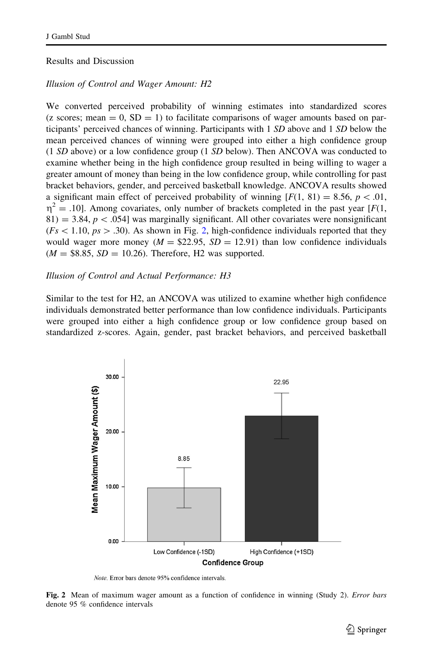## Results and Discussion

## Illusion of Control and Wager Amount: H2

We converted perceived probability of winning estimates into standardized scores (z scores; mean  $= 0$ , SD  $= 1$ ) to facilitate comparisons of wager amounts based on participants' perceived chances of winning. Participants with 1 SD above and 1 SD below the mean perceived chances of winning were grouped into either a high confidence group (1 SD above) or a low confidence group (1 SD below). Then ANCOVA was conducted to examine whether being in the high confidence group resulted in being willing to wager a greater amount of money than being in the low confidence group, while controlling for past bracket behaviors, gender, and perceived basketball knowledge. ANCOVA results showed a significant main effect of perceived probability of winning  $[F(1, 81) = 8.56, p < 0.01$ ,  $\eta^2$  = .10]. Among covariates, only number of brackets completed in the past year [F(1,  $81$ ) = 3.84,  $p < .054$ ] was marginally significant. All other covariates were nonsignificant  $(Fs<1.10, ps>30)$ . As shown in Fig. 2, high-confidence individuals reported that they would wager more money ( $M = $22.95$ ,  $SD = 12.91$ ) than low confidence individuals  $(M = $8.85, SD = 10.26)$ . Therefore, H2 was supported.

## Illusion of Control and Actual Performance: H3

Similar to the test for H2, an ANCOVA was utilized to examine whether high confidence individuals demonstrated better performance than low confidence individuals. Participants were grouped into either a high confidence group or low confidence group based on standardized z-scores. Again, gender, past bracket behaviors, and perceived basketball



Note. Error bars denote 95% confidence intervals.

Fig. 2 Mean of maximum wager amount as a function of confidence in winning (Study 2). *Error bars* denote 95 % confidence intervals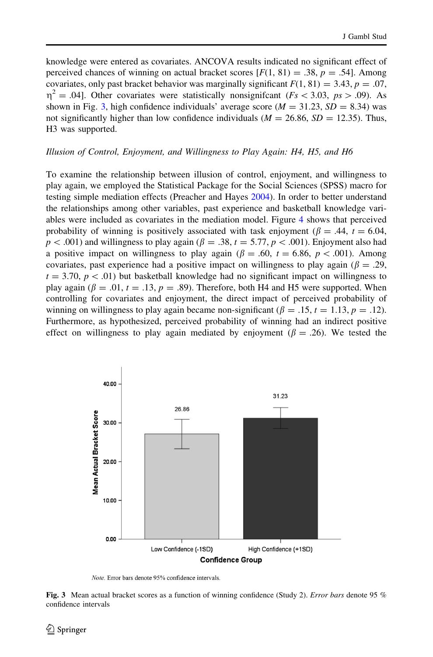knowledge were entered as covariates. ANCOVA results indicated no significant effect of perceived chances of winning on actual bracket scores  $[F(1, 81) = .38, p = .54]$ . Among covariates, only past bracket behavior was marginally significant  $F(1, 81) = 3.43$ ,  $p = .07$ ,  $\eta^2 = .04$ . Other covariates were statistically nonsignificant (Fs < 3.03, ps > .09). As shown in Fig. 3, high confidence individuals' average score ( $M = 31.23$ ,  $SD = 8.34$ ) was not significantly higher than low confidence individuals ( $M = 26.86$ ,  $SD = 12.35$ ). Thus, H3 was supported.

#### Illusion of Control, Enjoyment, and Willingness to Play Again: H4, H5, and H6

To examine the relationship between illusion of control, enjoyment, and willingness to play again, we employed the Statistical Package for the Social Sciences (SPSS) macro for testing simple mediation effects (Preacher and Hayes [2004\)](#page-16-0). In order to better understand the relationships among other variables, past experience and basketball knowledge variables were included as covariates in the mediation model. Figure [4](#page-12-0) shows that perceived probability of winning is positively associated with task enjoyment ( $\beta = .44$ ,  $t = 6.04$ ,  $p$  < .001) and willingness to play again ( $\beta = .38$ ,  $t = 5.77$ ,  $p$  < .001). Enjoyment also had a positive impact on willingness to play again ( $\beta = .60$ ,  $t = 6.86$ ,  $p < .001$ ). Among covariates, past experience had a positive impact on willingness to play again ( $\beta = .29$ ,  $t = 3.70$ ,  $p < .01$ ) but basketball knowledge had no significant impact on willingness to play again ( $\beta = .01$ ,  $t = .13$ ,  $p = .89$ ). Therefore, both H4 and H5 were supported. When controlling for covariates and enjoyment, the direct impact of perceived probability of winning on willingness to play again became non-significant ( $\beta = .15$ ,  $t = 1.13$ ,  $p = .12$ ). Furthermore, as hypothesized, perceived probability of winning had an indirect positive effect on willingness to play again mediated by enjoyment ( $\beta = .26$ ). We tested the



Note. Error bars denote 95% confidence intervals.

Fig. 3 Mean actual bracket scores as a function of winning confidence (Study 2). *Error bars* denote 95 % confidence intervals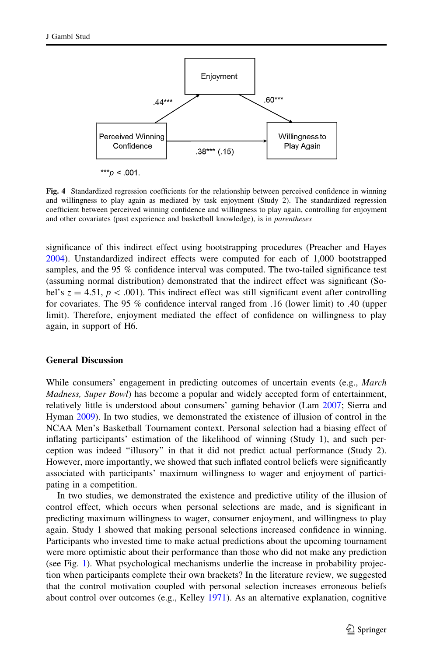<span id="page-12-0"></span>

Fig. 4 Standardized regression coefficients for the relationship between perceived confidence in winning and willingness to play again as mediated by task enjoyment (Study 2). The standardized regression coefficient between perceived winning confidence and willingness to play again, controlling for enjoyment and other covariates (past experience and basketball knowledge), is in *parentheses* 

significance of this indirect effect using bootstrapping procedures (Preacher and Hayes [2004\)](#page-16-0). Unstandardized indirect effects were computed for each of 1,000 bootstrapped samples, and the 95 % confidence interval was computed. The two-tailed significance test (assuming normal distribution) demonstrated that the indirect effect was significant (Sobel's  $z = 4.51$ ,  $p < .001$ ). This indirect effect was still significant event after controlling for covariates. The 95 % confidence interval ranged from .16 (lower limit) to .40 (upper limit). Therefore, enjoyment mediated the effect of confidence on willingness to play again, in support of H6.

#### General Discussion

While consumers' engagement in predicting outcomes of uncertain events (e.g., *March* Madness, Super Bowl) has become a popular and widely accepted form of entertainment, relatively little is understood about consumers' gaming behavior (Lam [2007;](#page-16-0) Sierra and Hyman [2009\)](#page-16-0). In two studies, we demonstrated the existence of illusion of control in the NCAA Men's Basketball Tournament context. Personal selection had a biasing effect of inflating participants' estimation of the likelihood of winning (Study 1), and such perception was indeed ''illusory'' in that it did not predict actual performance (Study 2). However, more importantly, we showed that such inflated control beliefs were significantly associated with participants' maximum willingness to wager and enjoyment of participating in a competition.

In two studies, we demonstrated the existence and predictive utility of the illusion of control effect, which occurs when personal selections are made, and is significant in predicting maximum willingness to wager, consumer enjoyment, and willingness to play again. Study 1 showed that making personal selections increased confidence in winning. Participants who invested time to make actual predictions about the upcoming tournament were more optimistic about their performance than those who did not make any prediction (see Fig. [1](#page-7-0)). What psychological mechanisms underlie the increase in probability projection when participants complete their own brackets? In the literature review, we suggested that the control motivation coupled with personal selection increases erroneous beliefs about control over outcomes (e.g., Kelley [1971\)](#page-16-0). As an alternative explanation, cognitive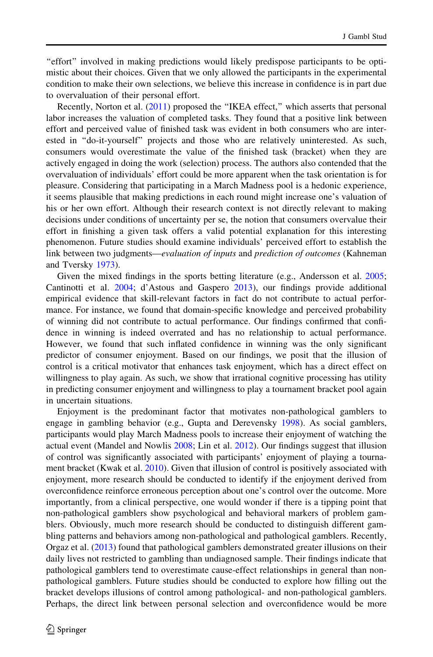"effort" involved in making predictions would likely predispose participants to be optimistic about their choices. Given that we only allowed the participants in the experimental condition to make their own selections, we believe this increase in confidence is in part due to overvaluation of their personal effort.

Recently, Norton et al. [\(2011\)](#page-16-0) proposed the "IKEA effect," which asserts that personal labor increases the valuation of completed tasks. They found that a positive link between effort and perceived value of finished task was evident in both consumers who are interested in ''do-it-yourself'' projects and those who are relatively uninterested. As such, consumers would overestimate the value of the finished task (bracket) when they are actively engaged in doing the work (selection) process. The authors also contended that the overvaluation of individuals' effort could be more apparent when the task orientation is for pleasure. Considering that participating in a March Madness pool is a hedonic experience, it seems plausible that making predictions in each round might increase one's valuation of his or her own effort. Although their research context is not directly relevant to making decisions under conditions of uncertainty per se, the notion that consumers overvalue their effort in finishing a given task offers a valid potential explanation for this interesting phenomenon. Future studies should examine individuals' perceived effort to establish the link between two judgments—evaluation of inputs and prediction of outcomes (Kahneman and Tversky [1973\)](#page-16-0).

Given the mixed findings in the sports betting literature (e.g., Andersson et al. [2005;](#page-15-0) Cantinotti et al. [2004](#page-15-0); d'Astous and Gaspero [2013\)](#page-15-0), our findings provide additional empirical evidence that skill-relevant factors in fact do not contribute to actual performance. For instance, we found that domain-specific knowledge and perceived probability of winning did not contribute to actual performance. Our findings confirmed that confidence in winning is indeed overrated and has no relationship to actual performance. However, we found that such inflated confidence in winning was the only significant predictor of consumer enjoyment. Based on our findings, we posit that the illusion of control is a critical motivator that enhances task enjoyment, which has a direct effect on willingness to play again. As such, we show that irrational cognitive processing has utility in predicting consumer enjoyment and willingness to play a tournament bracket pool again in uncertain situations.

Enjoyment is the predominant factor that motivates non-pathological gamblers to engage in gambling behavior (e.g., Gupta and Derevensky [1998](#page-15-0)). As social gamblers, participants would play March Madness pools to increase their enjoyment of watching the actual event (Mandel and Nowlis [2008;](#page-16-0) Lin et al. [2012](#page-16-0)). Our findings suggest that illusion of control was significantly associated with participants' enjoyment of playing a tourna-ment bracket (Kwak et al. [2010](#page-16-0)). Given that illusion of control is positively associated with enjoyment, more research should be conducted to identify if the enjoyment derived from overconfidence reinforce erroneous perception about one's control over the outcome. More importantly, from a clinical perspective, one would wonder if there is a tipping point that non-pathological gamblers show psychological and behavioral markers of problem gamblers. Obviously, much more research should be conducted to distinguish different gambling patterns and behaviors among non-pathological and pathological gamblers. Recently, Orgaz et al. ([2013\)](#page-16-0) found that pathological gamblers demonstrated greater illusions on their daily lives not restricted to gambling than undiagnosed sample. Their findings indicate that pathological gamblers tend to overestimate cause-effect relationships in general than nonpathological gamblers. Future studies should be conducted to explore how filling out the bracket develops illusions of control among pathological- and non-pathological gamblers. Perhaps, the direct link between personal selection and overconfidence would be more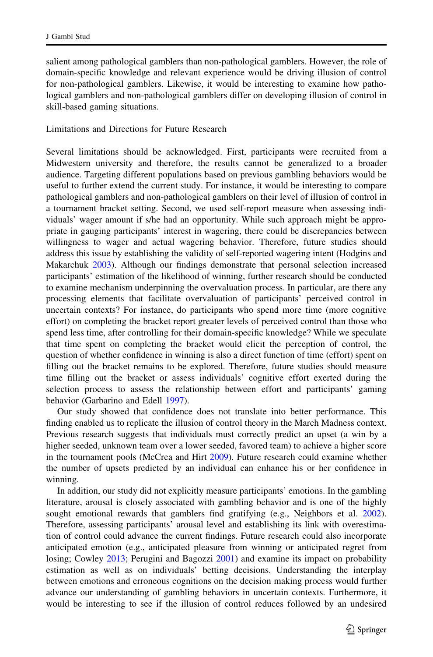salient among pathological gamblers than non-pathological gamblers. However, the role of domain-specific knowledge and relevant experience would be driving illusion of control for non-pathological gamblers. Likewise, it would be interesting to examine how pathological gamblers and non-pathological gamblers differ on developing illusion of control in skill-based gaming situations.

Limitations and Directions for Future Research

Several limitations should be acknowledged. First, participants were recruited from a Midwestern university and therefore, the results cannot be generalized to a broader audience. Targeting different populations based on previous gambling behaviors would be useful to further extend the current study. For instance, it would be interesting to compare pathological gamblers and non-pathological gamblers on their level of illusion of control in a tournament bracket setting. Second, we used self-report measure when assessing individuals' wager amount if s/he had an opportunity. While such approach might be appropriate in gauging participants' interest in wagering, there could be discrepancies between willingness to wager and actual wagering behavior. Therefore, future studies should address this issue by establishing the validity of self-reported wagering intent (Hodgins and Makarchuk [2003\)](#page-15-0). Although our findings demonstrate that personal selection increased participants' estimation of the likelihood of winning, further research should be conducted to examine mechanism underpinning the overvaluation process. In particular, are there any processing elements that facilitate overvaluation of participants' perceived control in uncertain contexts? For instance, do participants who spend more time (more cognitive effort) on completing the bracket report greater levels of perceived control than those who spend less time, after controlling for their domain-specific knowledge? While we speculate that time spent on completing the bracket would elicit the perception of control, the question of whether confidence in winning is also a direct function of time (effort) spent on filling out the bracket remains to be explored. Therefore, future studies should measure time filling out the bracket or assess individuals' cognitive effort exerted during the selection process to assess the relationship between effort and participants' gaming behavior (Garbarino and Edell [1997\)](#page-15-0).

Our study showed that confidence does not translate into better performance. This finding enabled us to replicate the illusion of control theory in the March Madness context. Previous research suggests that individuals must correctly predict an upset (a win by a higher seeded, unknown team over a lower seeded, favored team) to achieve a higher score in the tournament pools (McCrea and Hirt [2009\)](#page-16-0). Future research could examine whether the number of upsets predicted by an individual can enhance his or her confidence in winning.

In addition, our study did not explicitly measure participants' emotions. In the gambling literature, arousal is closely associated with gambling behavior and is one of the highly sought emotional rewards that gamblers find gratifying (e.g., Neighbors et al. [2002](#page-16-0)). Therefore, assessing participants' arousal level and establishing its link with overestimation of control could advance the current findings. Future research could also incorporate anticipated emotion (e.g., anticipated pleasure from winning or anticipated regret from losing; Cowley [2013](#page-15-0); Perugini and Bagozzi [2001\)](#page-16-0) and examine its impact on probability estimation as well as on individuals' betting decisions. Understanding the interplay between emotions and erroneous cognitions on the decision making process would further advance our understanding of gambling behaviors in uncertain contexts. Furthermore, it would be interesting to see if the illusion of control reduces followed by an undesired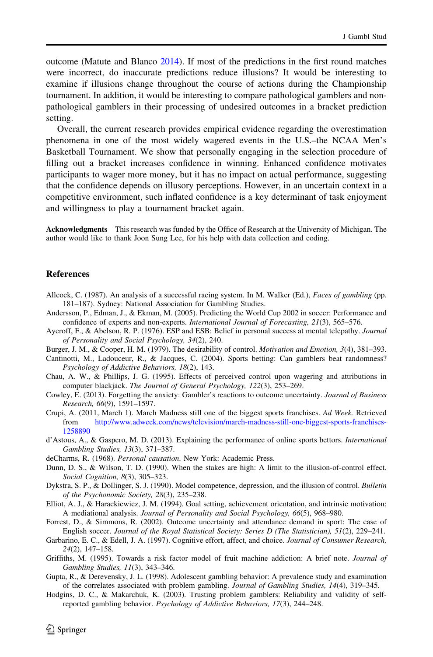<span id="page-15-0"></span>outcome (Matute and Blanco [2014\)](#page-16-0). If most of the predictions in the first round matches were incorrect, do inaccurate predictions reduce illusions? It would be interesting to examine if illusions change throughout the course of actions during the Championship tournament. In addition, it would be interesting to compare pathological gamblers and nonpathological gamblers in their processing of undesired outcomes in a bracket prediction setting.

Overall, the current research provides empirical evidence regarding the overestimation phenomena in one of the most widely wagered events in the U.S.–the NCAA Men's Basketball Tournament. We show that personally engaging in the selection procedure of filling out a bracket increases confidence in winning. Enhanced confidence motivates participants to wager more money, but it has no impact on actual performance, suggesting that the confidence depends on illusory perceptions. However, in an uncertain context in a competitive environment, such inflated confidence is a key determinant of task enjoyment and willingness to play a tournament bracket again.

Acknowledgments This research was funded by the Office of Research at the University of Michigan. The author would like to thank Joon Sung Lee, for his help with data collection and coding.

#### References

- Allcock, C. (1987). An analysis of a successful racing system. In M. Walker (Ed.), *Faces of gambling* (pp. 181–187). Sydney: National Association for Gambling Studies.
- Andersson, P., Edman, J., & Ekman, M. (2005). Predicting the World Cup 2002 in soccer: Performance and confidence of experts and non-experts. International Journal of Forecasting, 21(3), 565–576.
- Ayeroff, F., & Abelson, R. P. (1976). ESP and ESB: Belief in personal success at mental telepathy. Journal of Personality and Social Psychology, 34(2), 240.
- Burger, J. M., & Cooper, H. M. (1979). The desirability of control. *Motivation and Emotion*, 3(4), 381–393.
- Cantinotti, M., Ladouceur, R., & Jacques, C. (2004). Sports betting: Can gamblers beat randomness? Psychology of Addictive Behaviors, 18(2), 143.
- Chau, A. W., & Phillips, J. G. (1995). Effects of perceived control upon wagering and attributions in computer blackjack. The Journal of General Psychology, 122(3), 253–269.
- Cowley, E. (2013). Forgetting the anxiety: Gambler's reactions to outcome uncertainty. Journal of Business Research, 66(9), 1591–1597.
- Crupi, A. (2011, March 1). March Madness still one of the biggest sports franchises. Ad Week. Retrieved from [http://www.adweek.com/news/television/march-madness-still-one-biggest-sports-franchises-](http://www.adweek.com/news/television/march-madness-still-one-biggest-sports-franchises-1258890)[1258890](http://www.adweek.com/news/television/march-madness-still-one-biggest-sports-franchises-1258890)
- d'Astous, A., & Gaspero, M. D. (2013). Explaining the performance of online sports bettors. International Gambling Studies, 13(3), 371–387.
- deCharms, R. (1968). Personal causation. New York: Academic Press.
- Dunn, D. S., & Wilson, T. D. (1990). When the stakes are high: A limit to the illusion-of-control effect. Social Cognition, 8(3), 305–323.
- Dykstra, S. P., & Dollinger, S. J. (1990). Model competence, depression, and the illusion of control. Bulletin of the Psychonomic Society, 28(3), 235–238.
- Elliot, A. J., & Harackiewicz, J. M. (1994). Goal setting, achievement orientation, and intrinsic motivation: A mediational analysis. Journal of Personality and Social Psychology, 66(5), 968–980.
- Forrest, D., & Simmons, R. (2002). Outcome uncertainty and attendance demand in sport: The case of English soccer. Journal of the Royal Statistical Society: Series D (The Statistician), 51(2), 229–241.
- Garbarino, E. C., & Edell, J. A. (1997). Cognitive effort, affect, and choice. Journal of Consumer Research, 24(2), 147–158.
- Griffiths, M. (1995). Towards a risk factor model of fruit machine addiction: A brief note. Journal of Gambling Studies, 11(3), 343–346.
- Gupta, R., & Derevensky, J. L. (1998). Adolescent gambling behavior: A prevalence study and examination of the correlates associated with problem gambling. Journal of Gambling Studies, 14(4), 319–345.
- Hodgins, D. C., & Makarchuk, K. (2003). Trusting problem gamblers: Reliability and validity of selfreported gambling behavior. Psychology of Addictive Behaviors, 17(3), 244–248.